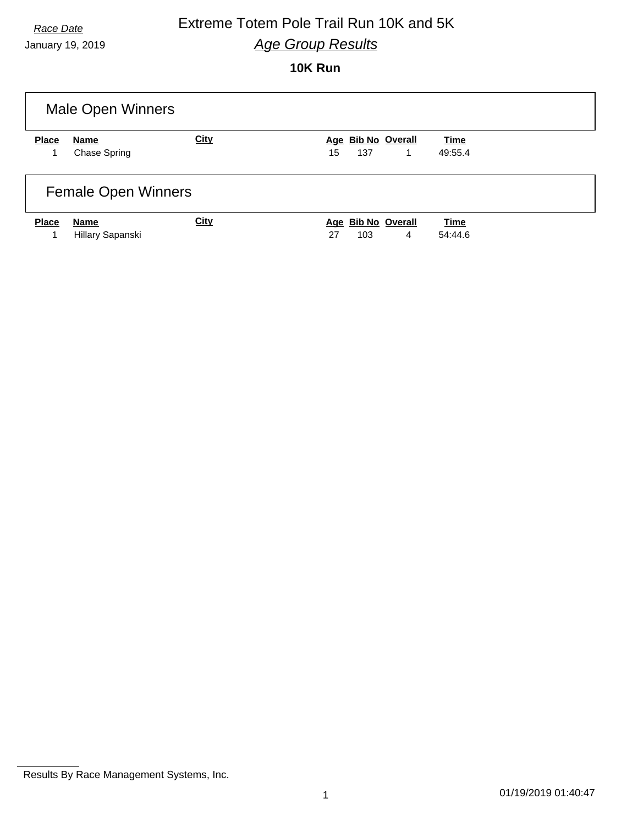# **Race Date Extreme Totem Pole Trail Run 10K and 5K** *Age Group Results*

January 19, 2019

## **10K Run**

| <b>Male Open Winners</b>   |                          |             |                                      |                        |  |  |
|----------------------------|--------------------------|-------------|--------------------------------------|------------------------|--|--|
| <b>Place</b>               | Name                     | <b>City</b> | Age Bib No Overall                   | Time                   |  |  |
|                            | Chase Spring             |             | 15<br>137<br>1                       | 49:55.4                |  |  |
| <b>Female Open Winners</b> |                          |             |                                      |                        |  |  |
| <b>Place</b>               | Name<br>Hillary Sapanski | <b>City</b> | Age Bib No Overall<br>4<br>27<br>103 | <b>Time</b><br>54:44.6 |  |  |

Results By Race Management Systems, Inc.